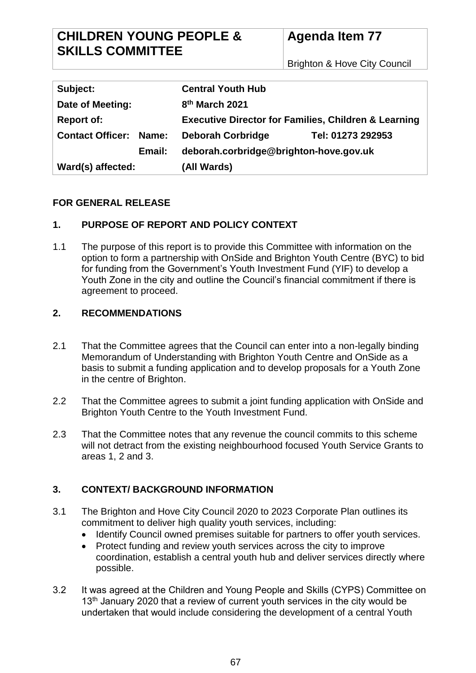Brighton & Hove City Council

| Subject:                      | <b>Central Youth Hub</b>                                        |
|-------------------------------|-----------------------------------------------------------------|
| Date of Meeting:              | 8 <sup>th</sup> March 2021                                      |
| <b>Report of:</b>             | <b>Executive Director for Families, Children &amp; Learning</b> |
| <b>Contact Officer: Name:</b> | <b>Deborah Corbridge</b><br>Tel: 01273 292953                   |
| Email:                        | deborah.corbridge@brighton-hove.gov.uk                          |
| Ward(s) affected:             | (All Wards)                                                     |

### **FOR GENERAL RELEASE**

# **1. PURPOSE OF REPORT AND POLICY CONTEXT**

1.1 The purpose of this report is to provide this Committee with information on the option to form a partnership with OnSide and Brighton Youth Centre (BYC) to bid for funding from the Government's Youth Investment Fund (YIF) to develop a Youth Zone in the city and outline the Council's financial commitment if there is agreement to proceed.

# **2. RECOMMENDATIONS**

- 2.1 That the Committee agrees that the Council can enter into a non-legally binding Memorandum of Understanding with Brighton Youth Centre and OnSide as a basis to submit a funding application and to develop proposals for a Youth Zone in the centre of Brighton.
- 2.2 That the Committee agrees to submit a joint funding application with OnSide and Brighton Youth Centre to the Youth Investment Fund.
- 2.3 That the Committee notes that any revenue the council commits to this scheme will not detract from the existing neighbourhood focused Youth Service Grants to areas 1, 2 and 3.

# **3. CONTEXT/ BACKGROUND INFORMATION**

- 3.1 The Brighton and Hove City Council 2020 to 2023 Corporate Plan outlines its commitment to deliver high quality youth services, including:
	- Identify Council owned premises suitable for partners to offer youth services.
	- Protect funding and review youth services across the city to improve coordination, establish a central youth hub and deliver services directly where possible.
- 3.2 It was agreed at the Children and Young People and Skills (CYPS) Committee on 13<sup>th</sup> January 2020 that a review of current youth services in the city would be undertaken that would include considering the development of a central Youth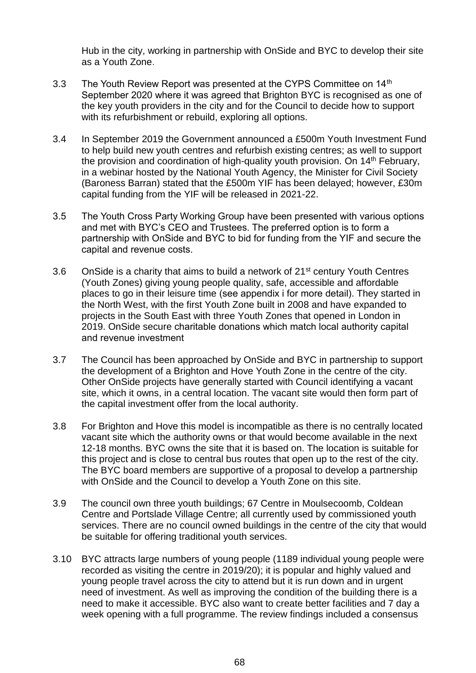Hub in the city, working in partnership with OnSide and BYC to develop their site as a Youth Zone.

- 3.3 The Youth Review Report was presented at the CYPS Committee on 14<sup>th</sup> September 2020 where it was agreed that Brighton BYC is recognised as one of the key youth providers in the city and for the Council to decide how to support with its refurbishment or rebuild, exploring all options.
- 3.4 In September 2019 the Government announced a £500m Youth Investment Fund to help build new youth centres and refurbish existing centres; as well to support the provision and coordination of high-quality youth provision. On 14<sup>th</sup> February, in a webinar hosted by the National Youth Agency, the Minister for Civil Society (Baroness Barran) stated that the £500m YIF has been delayed; however, £30m capital funding from the YIF will be released in 2021-22.
- 3.5 The Youth Cross Party Working Group have been presented with various options and met with BYC's CEO and Trustees. The preferred option is to form a partnership with OnSide and BYC to bid for funding from the YIF and secure the capital and revenue costs.
- 3.6 OnSide is a charity that aims to build a network of  $21<sup>st</sup>$  century Youth Centres (Youth Zones) giving young people quality, safe, accessible and affordable places to go in their leisure time (see appendix i for more detail). They started in the North West, with the first Youth Zone built in 2008 and have expanded to projects in the South East with three Youth Zones that opened in London in 2019. OnSide secure charitable donations which match local authority capital and revenue investment
- 3.7 The Council has been approached by OnSide and BYC in partnership to support the development of a Brighton and Hove Youth Zone in the centre of the city. Other OnSide projects have generally started with Council identifying a vacant site, which it owns, in a central location. The vacant site would then form part of the capital investment offer from the local authority.
- 3.8 For Brighton and Hove this model is incompatible as there is no centrally located vacant site which the authority owns or that would become available in the next 12-18 months. BYC owns the site that it is based on. The location is suitable for this project and is close to central bus routes that open up to the rest of the city. The BYC board members are supportive of a proposal to develop a partnership with OnSide and the Council to develop a Youth Zone on this site.
- 3.9 The council own three youth buildings; 67 Centre in Moulsecoomb, Coldean Centre and Portslade Village Centre; all currently used by commissioned youth services. There are no council owned buildings in the centre of the city that would be suitable for offering traditional youth services.
- 3.10 BYC attracts large numbers of young people (1189 individual young people were recorded as visiting the centre in 2019/20); it is popular and highly valued and young people travel across the city to attend but it is run down and in urgent need of investment. As well as improving the condition of the building there is a need to make it accessible. BYC also want to create better facilities and 7 day a week opening with a full programme. The review findings included a consensus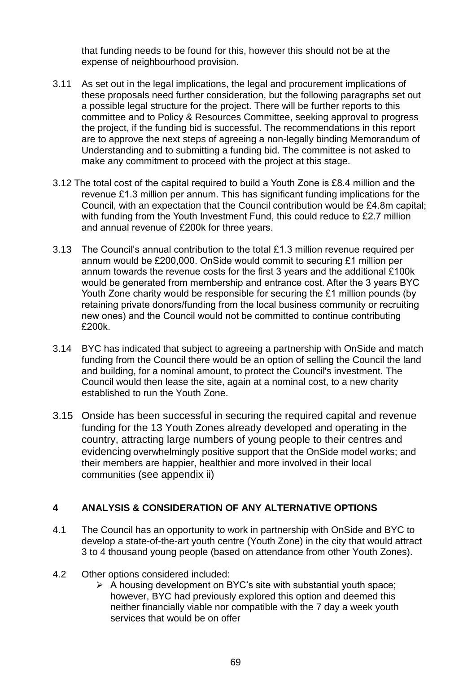that funding needs to be found for this, however this should not be at the expense of neighbourhood provision.

- 3.11 As set out in the legal implications, the legal and procurement implications of these proposals need further consideration, but the following paragraphs set out a possible legal structure for the project. There will be further reports to this committee and to Policy & Resources Committee, seeking approval to progress the project, if the funding bid is successful. The recommendations in this report are to approve the next steps of agreeing a non-legally binding Memorandum of Understanding and to submitting a funding bid. The committee is not asked to make any commitment to proceed with the project at this stage.
- 3.12 The total cost of the capital required to build a Youth Zone is £8.4 million and the revenue £1.3 million per annum. This has significant funding implications for the Council, with an expectation that the Council contribution would be £4.8m capital; with funding from the Youth Investment Fund, this could reduce to £2.7 million and annual revenue of £200k for three years.
- 3.13 The Council's annual contribution to the total £1.3 million revenue required per annum would be £200,000. OnSide would commit to securing £1 million per annum towards the revenue costs for the first 3 years and the additional £100k would be generated from membership and entrance cost. After the 3 years BYC Youth Zone charity would be responsible for securing the £1 million pounds (by retaining private donors/funding from the local business community or recruiting new ones) and the Council would not be committed to continue contributing £200k.
- 3.14 BYC has indicated that subject to agreeing a partnership with OnSide and match funding from the Council there would be an option of selling the Council the land and building, for a nominal amount, to protect the Council's investment. The Council would then lease the site, again at a nominal cost, to a new charity established to run the Youth Zone.
- 3.15 Onside has been successful in securing the required capital and revenue funding for the 13 Youth Zones already developed and operating in the country, attracting large numbers of young people to their centres and evidencing overwhelmingly positive support that the OnSide model works; and their members are happier, healthier and more involved in their local communities (see appendix ii)

### **4 ANALYSIS & CONSIDERATION OF ANY ALTERNATIVE OPTIONS**

- 4.1 The Council has an opportunity to work in partnership with OnSide and BYC to develop a state-of-the-art youth centre (Youth Zone) in the city that would attract 3 to 4 thousand young people (based on attendance from other Youth Zones).
- 4.2 Other options considered included:
	- $\triangleright$  A housing development on BYC's site with substantial youth space; however, BYC had previously explored this option and deemed this neither financially viable nor compatible with the 7 day a week youth services that would be on offer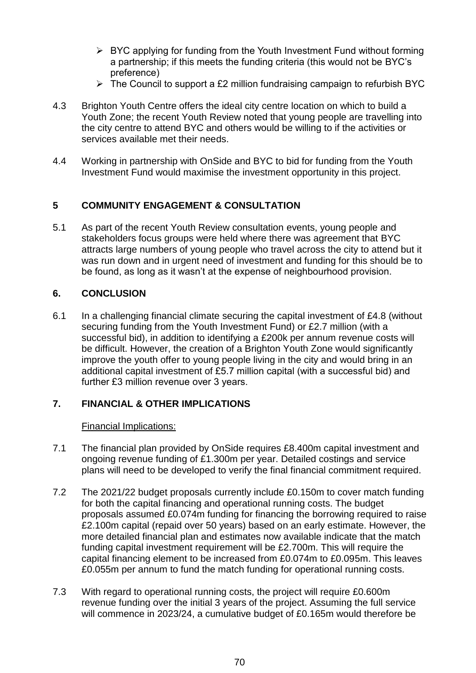- $\triangleright$  BYC applying for funding from the Youth Investment Fund without forming a partnership; if this meets the funding criteria (this would not be BYC's preference)
- $\triangleright$  The Council to support a £2 million fundraising campaign to refurbish BYC
- 4.3 Brighton Youth Centre offers the ideal city centre location on which to build a Youth Zone; the recent Youth Review noted that young people are travelling into the city centre to attend BYC and others would be willing to if the activities or services available met their needs.
- 4.4 Working in partnership with OnSide and BYC to bid for funding from the Youth Investment Fund would maximise the investment opportunity in this project.

# **5 COMMUNITY ENGAGEMENT & CONSULTATION**

5.1 As part of the recent Youth Review consultation events, young people and stakeholders focus groups were held where there was agreement that BYC attracts large numbers of young people who travel across the city to attend but it was run down and in urgent need of investment and funding for this should be to be found, as long as it wasn't at the expense of neighbourhood provision.

### **6. CONCLUSION**

6.1 In a challenging financial climate securing the capital investment of £4.8 (without securing funding from the Youth Investment Fund) or £2.7 million (with a successful bid), in addition to identifying a £200k per annum revenue costs will be difficult. However, the creation of a Brighton Youth Zone would significantly improve the youth offer to young people living in the city and would bring in an additional capital investment of £5.7 million capital (with a successful bid) and further £3 million revenue over 3 years.

### **7. FINANCIAL & OTHER IMPLICATIONS**

### Financial Implications:

- 7.1 The financial plan provided by OnSide requires £8.400m capital investment and ongoing revenue funding of £1.300m per year. Detailed costings and service plans will need to be developed to verify the final financial commitment required.
- 7.2 The 2021/22 budget proposals currently include £0.150m to cover match funding for both the capital financing and operational running costs. The budget proposals assumed £0.074m funding for financing the borrowing required to raise £2.100m capital (repaid over 50 years) based on an early estimate. However, the more detailed financial plan and estimates now available indicate that the match funding capital investment requirement will be £2.700m. This will require the capital financing element to be increased from £0.074m to £0.095m. This leaves £0.055m per annum to fund the match funding for operational running costs.
- 7.3 With regard to operational running costs, the project will require £0.600m revenue funding over the initial 3 years of the project. Assuming the full service will commence in 2023/24, a cumulative budget of £0.165m would therefore be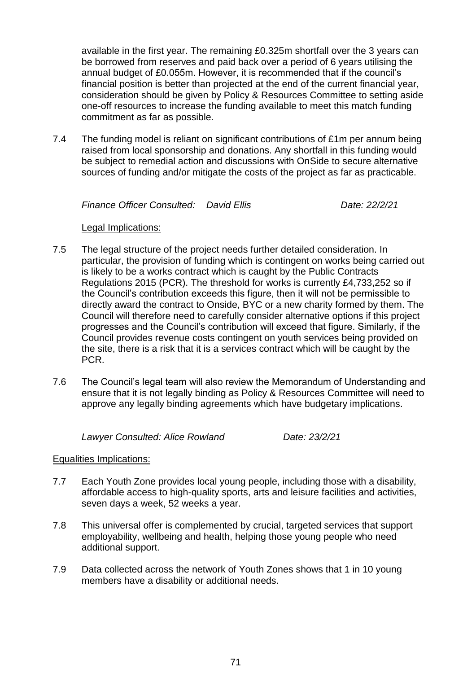available in the first year. The remaining £0.325m shortfall over the 3 years can be borrowed from reserves and paid back over a period of 6 years utilising the annual budget of £0.055m. However, it is recommended that if the council's financial position is better than projected at the end of the current financial year, consideration should be given by Policy & Resources Committee to setting aside one-off resources to increase the funding available to meet this match funding commitment as far as possible.

7.4 The funding model is reliant on significant contributions of £1m per annum being raised from local sponsorship and donations. Any shortfall in this funding would be subject to remedial action and discussions with OnSide to secure alternative sources of funding and/or mitigate the costs of the project as far as practicable.

*Finance Officer Consulted: David Ellis Date: 22/2/21*

#### Legal Implications:

- 7.5 The legal structure of the project needs further detailed consideration. In particular, the provision of funding which is contingent on works being carried out is likely to be a works contract which is caught by the Public Contracts Regulations 2015 (PCR). The threshold for works is currently £4,733,252 so if the Council's contribution exceeds this figure, then it will not be permissible to directly award the contract to Onside, BYC or a new charity formed by them. The Council will therefore need to carefully consider alternative options if this project progresses and the Council's contribution will exceed that figure. Similarly, if the Council provides revenue costs contingent on youth services being provided on the site, there is a risk that it is a services contract which will be caught by the PCR.
- 7.6 The Council's legal team will also review the Memorandum of Understanding and ensure that it is not legally binding as Policy & Resources Committee will need to approve any legally binding agreements which have budgetary implications.

*Lawyer Consulted: Alice Rowland Date: 23/2/21*

#### Equalities Implications:

- 7.7 Each Youth Zone provides local young people, including those with a disability, affordable access to high-quality sports, arts and leisure facilities and activities, seven days a week, 52 weeks a year.
- 7.8 This universal offer is complemented by crucial, targeted services that support employability, wellbeing and health, helping those young people who need additional support.
- 7.9 Data collected across the network of Youth Zones shows that 1 in 10 young members have a disability or additional needs.